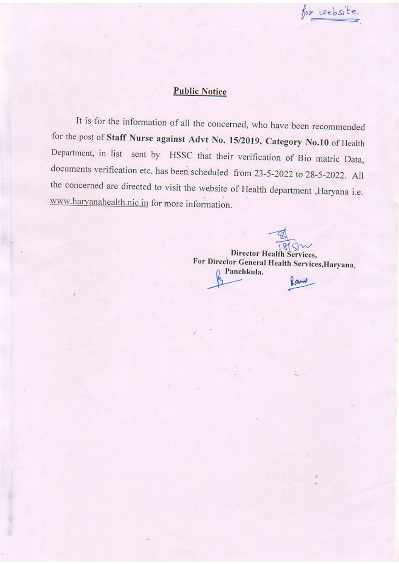for website.

## **Public Notice**

It is for the information of all the concerned, who have been recommended for the post of Staff Nurse against Advt No. 15/2019, Category No.10 of Health Department, in list sent by HSSC that their verification of Bio matric Data, documents verification etc. has been scheduled from 23-5-2022 to 28-5-2022. All the concerned are directed to visit the website of Health department , Haryana i.e. www.haryanahealth.nic.in for more information.

 $Sm$ **Director Health Services,** For Director General Health Services, Haryana, Panchkula. Rand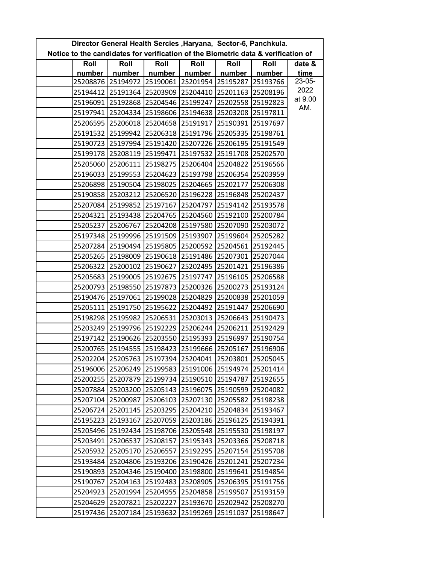| Director General Health Sercies, Haryana, Sector-6, Panchkula.                    |          |                   |                                              |                   |                   |          |                 |  |  |  |  |
|-----------------------------------------------------------------------------------|----------|-------------------|----------------------------------------------|-------------------|-------------------|----------|-----------------|--|--|--|--|
| Notice to the candidates for verification of the Biometric data & verification of |          |                   |                                              |                   |                   |          |                 |  |  |  |  |
|                                                                                   | Roll     | Roll              | Roll<br>Roll                                 |                   | Roll              | Roll     | date &          |  |  |  |  |
|                                                                                   | number   | number            | number                                       | number            | number            | number   | time            |  |  |  |  |
|                                                                                   | 25208876 |                   | 25194972 25190061 25201954                   |                   | 25195287          | 25193766 | 23-05-          |  |  |  |  |
|                                                                                   | 25194412 | 25191364          |                                              | 25203909 25204410 | 25201163          | 25208196 | 2022<br>at 9.00 |  |  |  |  |
|                                                                                   | 25196091 | 25192868          | 25204546 25199247                            |                   | 25202558          | 25192823 | AM.             |  |  |  |  |
|                                                                                   | 25197941 |                   | 25204334 25198606 25194638                   |                   | 25203208 25197811 |          |                 |  |  |  |  |
|                                                                                   | 25206595 |                   | 25206018 25204658 25191917                   |                   | 25190391          | 25197697 |                 |  |  |  |  |
|                                                                                   | 25191532 | 25199942          |                                              | 25206318 25191796 | 25205335          | 25198761 |                 |  |  |  |  |
|                                                                                   | 25190723 | 25197994          |                                              | 25191420 25207226 | 25206195          | 25191549 |                 |  |  |  |  |
|                                                                                   | 25199178 | 25208119          | 25199471 25197532                            |                   | 25191708          | 25202570 |                 |  |  |  |  |
|                                                                                   |          | 25205060 25206111 | 25198275 25206404                            |                   | 25204822          | 25196566 |                 |  |  |  |  |
|                                                                                   | 25196033 | 25199553          |                                              | 25204623 25193798 | 25206354          | 25203959 |                 |  |  |  |  |
|                                                                                   | 25206898 | 25190504          | 25198025 25204665                            |                   | 25202177          | 25206308 |                 |  |  |  |  |
|                                                                                   | 25190858 | 25203212          |                                              | 25206520 25196228 | 25196848          | 25202437 |                 |  |  |  |  |
|                                                                                   | 25207084 | 25199852          | 25197167 25204797                            |                   | 25194142          | 25193578 |                 |  |  |  |  |
|                                                                                   |          |                   | 25204321 25193438 25204765 25204560          |                   | 25192100 25200784 |          |                 |  |  |  |  |
|                                                                                   | 25205237 | 25206767          |                                              | 25204208 25197580 | 25207090          | 25203072 |                 |  |  |  |  |
|                                                                                   | 25197348 | 25199996          | 25191509 25193907                            |                   | 25199604          | 25205282 |                 |  |  |  |  |
|                                                                                   | 25207284 | 25190494          | 25195805 25200592                            |                   | 25204561          | 25192445 |                 |  |  |  |  |
|                                                                                   | 25205265 | 25198009          | 25190618 25191486                            |                   | 25207301          | 25207044 |                 |  |  |  |  |
|                                                                                   |          |                   | 25206322 25200102 25190627 25202495          |                   | 25201421          | 25196386 |                 |  |  |  |  |
|                                                                                   | 25205683 | 25199005          | 25192675 25197747                            |                   | 25196105          | 25206588 |                 |  |  |  |  |
|                                                                                   | 25200793 | 25198550          | 25197873                                     | 25200326          | 25200273          | 25193124 |                 |  |  |  |  |
|                                                                                   | 25190476 | 25197061          | 25199028 25204829                            |                   | 25200838          | 25201059 |                 |  |  |  |  |
|                                                                                   | 25205111 | 25191750          | 25195622 25204492                            |                   | 25191447          | 25206690 |                 |  |  |  |  |
|                                                                                   | 25198298 |                   | 25195982 25206531 25203013                   |                   | 25206643          | 25190473 |                 |  |  |  |  |
|                                                                                   | 25203249 | 25199796          |                                              | 25192229 25206244 | 25206211          | 25192429 |                 |  |  |  |  |
|                                                                                   | 25197142 | 25190626          | 25203550 25195393                            |                   | 25196997          | 25190754 |                 |  |  |  |  |
|                                                                                   |          |                   | 25200765 25194555 25198423 25199666 25205167 |                   |                   | 25196906 |                 |  |  |  |  |
|                                                                                   |          |                   | 25202204 25205763 25197394 25204041 25203801 |                   |                   | 25205045 |                 |  |  |  |  |
|                                                                                   | 25196006 | 25206249          |                                              | 25199583 25191006 | 25194974          | 25201414 |                 |  |  |  |  |
|                                                                                   | 25200255 | 25207879          |                                              | 25199734 25190510 | 25194787          | 25192655 |                 |  |  |  |  |
|                                                                                   | 25207884 | 25203200          | 25205143                                     | 25196075          | 25190599          | 25204082 |                 |  |  |  |  |
|                                                                                   | 25207104 | 25200987          |                                              | 25206103 25207130 | 25205582          | 25198238 |                 |  |  |  |  |
|                                                                                   | 25206724 | 25201145          | 25203295                                     | 25204210          | 25204834          | 25193467 |                 |  |  |  |  |
|                                                                                   | 25195223 | 25193167          | 25207059                                     | 25203186          | 25196125          | 25194391 |                 |  |  |  |  |
|                                                                                   | 25205496 | 25192434          | 25198706                                     | 25205548          | 25195530          | 25198197 |                 |  |  |  |  |
|                                                                                   | 25203491 | 25206537          | 25208157                                     | 25195343          | 25203366          | 25208718 |                 |  |  |  |  |
|                                                                                   | 25205932 | 25205170          |                                              | 25206557 25192295 | 25207154          | 25195708 |                 |  |  |  |  |
|                                                                                   | 25193484 | 25204806          | 25193206                                     | 25190426          | 25201241          | 25207234 |                 |  |  |  |  |
|                                                                                   | 25190893 | 25204346          | 25190400                                     | 25198800          | 25199641          | 25194854 |                 |  |  |  |  |
|                                                                                   | 25190767 | 25204163          | 25192483                                     | 25208905          | 25206395          | 25191756 |                 |  |  |  |  |
|                                                                                   | 25204923 | 25201994          | 25204955                                     | 25204858          | 25199507          | 25193159 |                 |  |  |  |  |
|                                                                                   | 25204629 | 25207821          | 25202227                                     | 25193670          | 25202942          | 25208270 |                 |  |  |  |  |
|                                                                                   | 25197436 | 25207184          | 25193632                                     | 25199269          | 25191037          | 25198647 |                 |  |  |  |  |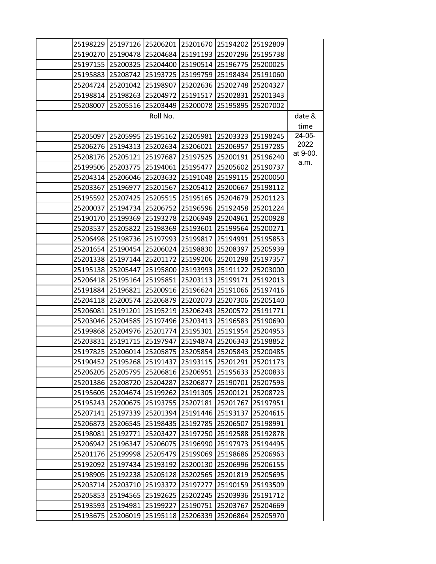|          |                   |                   |                   | 25198229 25197126 25206201 25201670 25194202 | 25192809 |                  |
|----------|-------------------|-------------------|-------------------|----------------------------------------------|----------|------------------|
|          | 25190270 25190478 |                   |                   | 25204684 25191193 25207296                   | 25195738 |                  |
|          | 25197155 25200325 | 25204400          | 25190514          | 25196775                                     | 25200025 |                  |
|          | 25195883 25208742 |                   | 25193725 25199759 | 25198434                                     | 25191060 |                  |
| 25204724 | 25201042          | 25198907          | 25202636          | 25202748                                     | 25204327 |                  |
| 25198814 | 25198263          | 25204972          | 25191517          | 25202831                                     | 25201343 |                  |
| 25208007 | 25205516          | 25203449          | 25200078          | 25195895                                     | 25207002 |                  |
|          |                   | Roll No.          |                   |                                              |          | date &           |
|          |                   |                   |                   |                                              |          | time             |
| 25205097 | 25205995          | 25195162 25205981 |                   | 25203323                                     | 25198245 | 24-05-           |
|          | 25206276 25194313 | 25202634          | 25206021          | 25206957                                     | 25197285 | 2022             |
|          | 25208176 25205121 | 25197687          | 25197525          | 25200191                                     | 25196240 | at 9-00.<br>a.m. |
|          | 25199506 25203775 | 25194061          | 25195477          | 25205602                                     | 25190737 |                  |
|          | 25204314 25206046 | 25203632          | 25191048          | 25199115                                     | 25200050 |                  |
| 25203367 | 25196977          | 25201567          | 25205412          | 25200667                                     | 25198112 |                  |
|          | 25195592 25207425 | 25205515          | 25195165          | 25204679                                     | 25201123 |                  |
|          | 25200037 25194734 | 25206752          | 25196596          | 25192458                                     | 25201224 |                  |
| 25190170 | 25199369          | 25193278          | 25206949          | 25204961                                     | 25200928 |                  |
| 25203537 | 25205822          | 25198369          | 25193601          | 25199564                                     | 25200271 |                  |
|          | 25206498 25198736 | 25197993          | 25199817          | 25194991                                     | 25195853 |                  |
|          | 25201654 25190454 | 25206024          | 25198830          | 25208397                                     | 25205939 |                  |
|          | 25201338 25197144 |                   | 25201172 25199206 | 25201298                                     | 25197357 |                  |
|          | 25195138 25205447 | 25195800          | 25193993          | 25191122                                     | 25203000 |                  |
|          | 25206418 25195164 | 25195851          | 25203113          | 25199171                                     | 25192013 |                  |
|          | 25191884 25196821 | 25200916          | 25196624          | 25191066                                     | 25197416 |                  |
|          | 25204118 25200574 | 25206879          | 25202073          | 25207306                                     | 25205140 |                  |
|          | 25206081 25191201 |                   | 25195219 25206243 | 25200572                                     | 25191771 |                  |
|          | 25203046 25204585 | 25197496          | 25203413          | 25196583                                     | 25190690 |                  |
|          | 25199868 25204976 | 25201774          | 25195301          | 25191954                                     | 25204953 |                  |
| 25203831 | 25191715          | 25197947          | 25194874          | 25206343                                     | 25198852 |                  |
| 25197825 | 25206014          | 25205875          | 25205854          | 25205843                                     | 25200485 |                  |
| 25190452 | 25195268          | 25191437          | 25193115          | 25201291 25201173                            |          |                  |
|          | 25206205 25205795 | 25206816          | 25206951          | 25195633                                     | 25200833 |                  |
|          | 25201386 25208720 | 25204287          | 25206877          | 25190701                                     | 25207593 |                  |
| 25195605 | 25204674          | 25199262          | 25191305          | 25200121                                     | 25208723 |                  |
| 25195243 | 25200675          | 25193755          | 25207181          | 25201767                                     | 25197951 |                  |
| 25207141 | 25197339          | 25201394          | 25191446          | 25193137                                     | 25204615 |                  |
| 25206873 | 25206545          | 25198435          | 25192785          | 25206507                                     | 25198991 |                  |
| 25198081 | 25192771          | 25203427          | 25197250          | 25192588                                     | 25192878 |                  |
| 25206942 | 25196347          | 25206075          | 25196990          | 25197973                                     | 25194495 |                  |
| 25201176 | 25199998          | 25205479          | 25199069          | 25198686                                     | 25206963 |                  |
| 25192092 | 25197434          | 25193192          | 25200130          | 25206996                                     | 25206155 |                  |
|          | 25198905 25192238 | 25205128          | 25202565          | 25201819                                     | 25205695 |                  |
|          | 25203714 25203710 | 25193372          | 25197277          | 25190159                                     | 25193509 |                  |
| 25205853 | 25194565          | 25192625          | 25202245          | 25203936                                     | 25191712 |                  |
| 25193593 | 25194981          | 25199227          | 25190751          | 25203767                                     | 25204669 |                  |
| 25193675 | 25206019          | 25195118          | 25206339          | 25206864                                     | 25205970 |                  |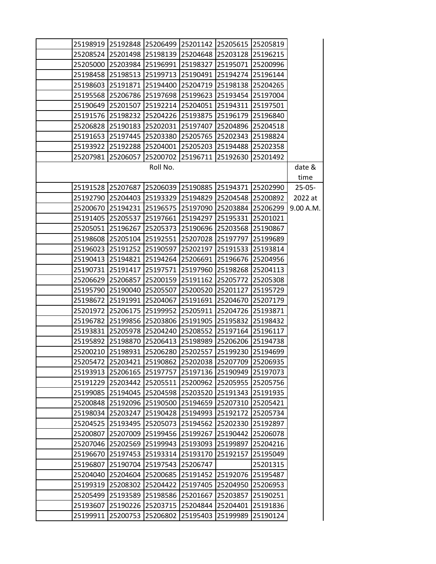|          | 25198919 25192848 |                   |                   | 25206499 25201142 25205615 25205819 |                   |           |
|----------|-------------------|-------------------|-------------------|-------------------------------------|-------------------|-----------|
|          | 25208524 25201498 |                   |                   | 25198139 25204648 25203128 25196215 |                   |           |
| 25205000 | 25203984          |                   | 25196991 25198327 | 25195071                            | 25200996          |           |
|          | 25198458 25198513 |                   | 25199713 25190491 | 25194274                            | 25196144          |           |
| 25198603 | 25191871          |                   | 25194400 25204719 | 25198138                            | 25204265          |           |
| 25195568 | 25206786          |                   | 25197698 25199623 | 25193454                            | 25197004          |           |
|          | 25190649 25201507 |                   | 25192214 25204051 | 25194311                            | 25197501          |           |
| 25191576 | 25198232          |                   | 25204226 25193875 | 25196179                            | 25196840          |           |
| 25206828 | 25190183          |                   | 25202031 25197407 | 25204896                            | 25204518          |           |
| 25191653 | 25197445          |                   | 25203380 25205765 | 25202343                            | 25198824          |           |
| 25193922 | 25192288          |                   | 25204001 25205203 | 25194488                            | 25202358          |           |
| 25207981 | 25206057          |                   | 25200702 25196711 | 25192630                            | 25201492          |           |
|          |                   | Roll No.          |                   |                                     |                   | date &    |
|          |                   |                   |                   |                                     |                   | time      |
|          | 25191528 25207687 |                   | 25206039 25190885 | 25194371                            | 25202990          | $25-05-$  |
|          | 25192790 25204403 |                   | 25193329 25194829 | 25204548                            | 25200892          | 2022 at   |
|          | 25200670 25194231 | 25196575 25197090 |                   | 25203884                            | 25206299          | 9.00 A.M. |
| 25191405 | 25205537          | 25197661          | 25194297          | 25195331                            | 25201021          |           |
| 25205051 | 25196267          |                   | 25205373 25190696 | 25203568                            | 25190867          |           |
| 25198608 | 25205104          |                   | 25192551 25207028 | 25197797                            | 25199689          |           |
| 25196023 | 25191252          | 25190597          | 25202197          | 25191533                            | 25193814          |           |
| 25190413 | 25194821          |                   | 25194264 25206691 | 25196676                            | 25204956          |           |
| 25190731 | 25191417          | 25197571          | 25197960          | 25198268                            | 25204113          |           |
| 25206629 | 25206857          |                   | 25200159 25191162 | 25205772                            | 25205308          |           |
| 25195790 | 25190040          | 25205507          | 25200520          | 25201127                            | 25195729          |           |
| 25198672 | 25191991          | 25204067          | 25191691          | 25204670                            | 25207179          |           |
| 25201972 | 25206175          |                   | 25199952 25205911 | 25204726                            | 25193871          |           |
| 25196782 | 25199856          | 25203806          | 25191905          | 25195832                            | 25198432          |           |
| 25193831 | 25205978          |                   | 25204240 25208552 | 25197164                            | 25196117          |           |
| 25195892 | 25198870          |                   | 25206413 25198989 | 25206206                            | 25194738          |           |
| 25200210 | 25198931          | 25206280          | 25202557          | 25199230                            | 25194699          |           |
|          | 25205472 25203421 |                   | 25190862 25202038 | 25207709                            | 25206935          |           |
| 25193913 | 25206165          |                   | 25197757 25197136 | 25190949                            | 25197073          |           |
| 25191229 | 25203442          |                   | 25205511 25200962 |                                     | 25205955 25205756 |           |
| 25199085 | 25194045          | 25204598          | 25203520          | 25191343                            | 25191935          |           |
| 25200848 | 25192096          | 25190500          | 25194659          | 25207310                            | 25205421          |           |
| 25198034 | 25203247          |                   | 25190428 25194993 | 25192172                            | 25205734          |           |
| 25204525 | 25193495          | 25205073          | 25194562          | 25202330                            | 25192897          |           |
| 25200807 | 25207009          | 25199456 25199267 |                   | 25190442                            | 25206078          |           |
| 25207046 | 25202569          | 25199943          | 25193093          | 25199897                            | 25204216          |           |
| 25196670 | 25197453          | 25193314          | 25193170          | 25192157                            | 25195049          |           |
| 25196807 | 25190704          | 25197543 25206747 |                   |                                     | 25201315          |           |
| 25204040 | 25204604          | 25200685          | 25191452          | 25192076                            | 25195487          |           |
| 25199319 | 25208302          | 25204422          | 25197405          | 25204950                            | 25206953          |           |
| 25205499 | 25193589          | 25198586          | 25201667          | 25203857                            | 25190251          |           |
| 25193607 | 25190226          | 25203715          | 25204844          | 25204401                            | 25191836          |           |
| 25199911 | 25200753          | 25206802          | 25195403          | 25199989                            | 25190124          |           |
|          |                   |                   |                   |                                     |                   |           |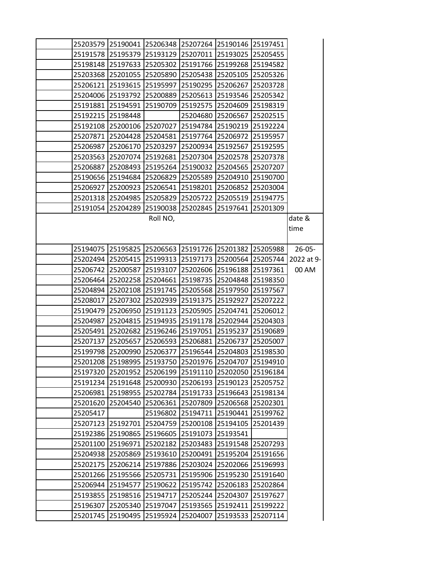|          |                            |                            |                            | 25203579 25190041 25206348 25207264 25190146 25197451 |          |             |
|----------|----------------------------|----------------------------|----------------------------|-------------------------------------------------------|----------|-------------|
|          |                            |                            |                            | 25191578 25195379 25193129 25207011 25193025 25205455 |          |             |
|          |                            | 25198148 25197633 25205302 |                            | 25191766 25199268 25194582                            |          |             |
|          | 25203368 25201055 25205890 |                            |                            | 25205438 25205105 25205326                            |          |             |
|          | 25206121 25193615          | 25195997                   |                            | 25190295 25206267                                     | 25203728 |             |
|          | 25204006 25193792          |                            |                            | 25200889 25205613 25193546 25205342                   |          |             |
|          |                            | 25191881 25194591 25190709 |                            | 25192575 25204609 25198319                            |          |             |
|          | 25192215 25198448          |                            |                            | 25204680 25206567                                     | 25202515 |             |
|          | 25192108 25200106 25207027 |                            |                            | 25194784 25190219                                     | 25192224 |             |
|          | 25207871 25204428 25204581 |                            |                            | 25197764 25206972 25195957                            |          |             |
|          |                            | 25206987 25206170 25203297 |                            | 25200934 25192567                                     | 25192595 |             |
|          |                            |                            |                            | 25203563 25207074 25192681 25207304 25202578 25207378 |          |             |
| 25206887 |                            | 25208493 25195264          |                            | 25190032 25204565                                     | 25207207 |             |
|          | 25190656 25194684 25206829 |                            |                            | 25205589 25204910 25190700                            |          |             |
|          | 25206927 25200923          | 25206541                   |                            | 25198201 25206852                                     | 25203004 |             |
|          | 25201318 25204985          |                            |                            | 25205829 25205722 25205519 25194775                   |          |             |
|          | 25191054 25204289          |                            | 25190038 25202845 25197641 |                                                       | 25201309 |             |
|          |                            | Roll NO,                   |                            |                                                       |          | date &      |
|          |                            |                            |                            |                                                       |          | time        |
|          |                            |                            |                            |                                                       |          |             |
|          |                            |                            |                            | 25194075 25195825 25206563 25191726 25201382 25205988 |          | $26 - 05 -$ |
|          |                            |                            |                            | 25202494 25205415 25199313 25197173 25200564 25205744 |          | 2022 at 9-  |
|          | 25206742 25200587          | 25193107                   |                            | 25202606 25196188 25197361                            |          | 00 AM       |
|          | 25206464 25202258 25204661 |                            |                            | 25198735 25204848 25198350                            |          |             |
|          |                            | 25204894 25202108 25191745 |                            | 25205568 25197950                                     | 25197567 |             |
|          | 25208017 25207302          |                            |                            | 25202939 25191375 25192927                            | 25207222 |             |
|          |                            | 25190479 25206950 25191123 |                            | 25205905 25204741 25206012                            |          |             |
| 25204987 | 25204815                   | 25194935                   |                            | 25191178 25202944                                     | 25204303 |             |
|          | 25205491 25202682          | 25196246                   |                            | 25197051 25195237                                     | 25190689 |             |
|          | 25207137 25205657          | 25206593                   |                            | 25206881 25206737                                     | 25205007 |             |
|          | 25199798 25200990          |                            | 25206377 25196544 25204803 |                                                       | 25198530 |             |
|          | 25201208 25198995          |                            | 25193750 25201976 25204707 |                                                       | 25194910 |             |
|          | 25197320 25201952          | 25206199                   | 25191110                   | 25202050                                              | 25196184 |             |
|          |                            | 25191234 25191648 25200930 |                            | 25206193 25190123                                     | 25205752 |             |
|          | 25206981 25198955          | 25202784                   |                            | 25191733 25196643                                     | 25198134 |             |
| 25201620 | 25204540                   | 25206361                   | 25207809                   | 25206568                                              | 25202301 |             |
| 25205417 |                            | 25196802                   |                            | 25194711 25190441                                     | 25199762 |             |
|          | 25207123 25192701          | 25204759                   |                            | 25200108 25194105                                     | 25201439 |             |
|          | 25192386 25190865          | 25196605                   |                            | 25191073 25193541                                     |          |             |
|          | 25201100 25196971          | 25202182                   | 25203483                   | 25191548                                              | 25207293 |             |
|          | 25204938 25205869          | 25193610                   | 25200491                   | 25195204                                              | 25191656 |             |
|          | 25202175 25206214          | 25197886                   |                            | 25203024 25202066                                     | 25196993 |             |
|          | 25201266 25195566          | 25205731                   |                            | 25195906 25195230                                     | 25191640 |             |
|          | 25206944 25194577          | 25190622                   | 25195742                   | 25206183                                              | 25202864 |             |
| 25193855 | 25198516                   | 25194717                   | 25205244                   | 25204307                                              | 25197627 |             |
| 25196307 | 25205340                   | 25197047                   | 25193565                   | 25192411                                              | 25199222 |             |
| 25201745 | 25190495                   | 25195924                   | 25204007                   | 25193533                                              | 25207114 |             |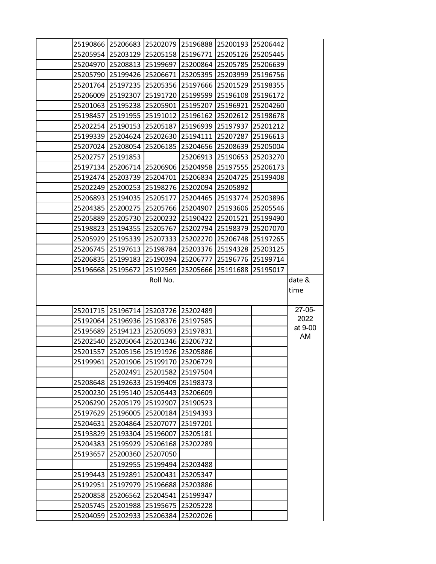|          |                            | 25190866 25206683 25202079 25196888 |                   | 25200193 25206442 |          |          |
|----------|----------------------------|-------------------------------------|-------------------|-------------------|----------|----------|
|          |                            | 25205954 25203129 25205158 25196771 |                   | 25205126 25205445 |          |          |
|          | 25204970 25208813 25199697 |                                     | 25200864          | 25205785 25206639 |          |          |
|          | 25205790 25199426 25206671 |                                     | 25205395          | 25203999 25196756 |          |          |
|          |                            | 25201764 25197235 25205356 25197666 |                   | 25201529 25198355 |          |          |
|          | 25206009 25192307          | 25191720 25199599                   |                   | 25196108 25196172 |          |          |
|          |                            | 25201063 25195238 25205901 25195207 |                   | 25196921 25204260 |          |          |
|          |                            | 25198457 25191955 25191012 25196162 |                   | 25202612 25198678 |          |          |
|          | 25202254 25190153 25205187 |                                     | 25196939          | 25197937 25201212 |          |          |
|          |                            | 25199339 25204624 25202630 25194111 |                   | 25207287 25196613 |          |          |
|          | 25207024 25208054 25206185 |                                     | 25204656          | 25208639 25205004 |          |          |
|          | 25202757 25191853          |                                     | 25206913          | 25190653 25203270 |          |          |
|          |                            | 25197134 25206714 25206906 25204958 |                   | 25197555          | 25206173 |          |
|          | 25192474 25203739          |                                     | 25204701 25206834 | 25204725 25199408 |          |          |
|          | 25202249 25200253          |                                     | 25198276 25202094 | 25205892          |          |          |
|          | 25206893 25194035 25205177 |                                     | 25204465          | 25193774 25203896 |          |          |
|          | 25204385 25200275          | 25205766 25204907                   |                   | 25193606 25205546 |          |          |
|          | 25205889 25205730          |                                     | 25200232 25190422 | 25201521          | 25199490 |          |
|          | 25198823 25194355          | 25205767                            | 25202794          | 25198379 25207070 |          |          |
|          | 25205929 25195339          | 25207333                            | 25202270          | 25206748 25197265 |          |          |
|          | 25206745 25197613          |                                     | 25198784 25203376 | 25194328 25203125 |          |          |
|          | 25206835 25199183          | 25190394 25206777                   |                   | 25196776 25199714 |          |          |
|          | 25196668 25195672          | 25192569                            | 25205666          | 25191688          | 25195017 |          |
|          |                            | Roll No.                            |                   |                   |          | date &   |
|          |                            |                                     |                   |                   |          | time     |
|          |                            |                                     |                   |                   |          |          |
|          |                            | 25201715 25196714 25203726 25202489 |                   |                   |          | $27-05-$ |
|          |                            | 25192064 25196936 25198376 25197585 |                   |                   |          | 2022     |
|          |                            | 25195689 25194123 25205093 25197831 |                   |                   |          | at 9-00  |
|          |                            | 25202540 25205064 25201346 25206732 |                   |                   |          | AM       |
|          |                            | 25201557 25205156 25191926 25205886 |                   |                   |          |          |
| 25199961 | 25201906                   | 25199170 25206729                   |                   |                   |          |          |
|          | 25202491                   | 25201582 25197504                   |                   |                   |          |          |
|          | 25208648 25192633          | 25199409 25198373                   |                   |                   |          |          |
|          | 25200230 25195140          | 25205443                            | 25206609          |                   |          |          |
|          | 25206290 25205179          | 25192907                            | 25190523          |                   |          |          |
|          | 25197629 25196005          | 25200184                            | 25194393          |                   |          |          |
|          | 25204631 25204864          | 25207077                            | 25197201          |                   |          |          |
|          | 25193829 25193304          | 25196007                            | 25205181          |                   |          |          |
|          | 25204383 25195929          | 25206168                            | 25202289          |                   |          |          |
| 25193657 | 25200360                   | 25207050                            |                   |                   |          |          |
|          | 25192955                   | 25199494                            | 25203488          |                   |          |          |
|          | 25199443 25192891          | 25200431                            | 25205347          |                   |          |          |
|          | 25192951 25197979          | 25196688                            | 25203886          |                   |          |          |
| 25200858 | 25206562                   | 25204541                            | 25199347          |                   |          |          |
| 25205745 | 25201988                   | 25195675                            | 25205228          |                   |          |          |
| 25204059 | 25202933                   | 25206384                            | 25202026          |                   |          |          |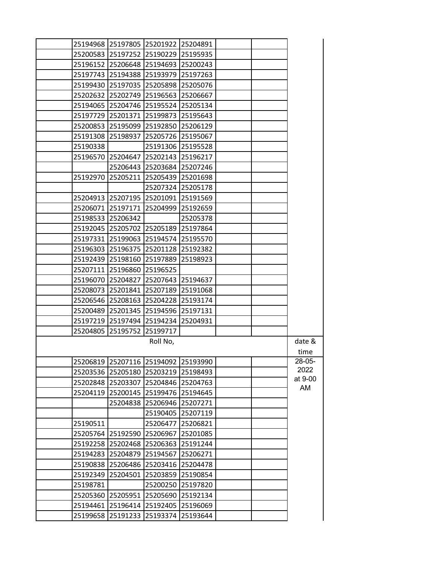|          |                            | 25194968 25197805 25201922 25204891                               |                   |  |                |
|----------|----------------------------|-------------------------------------------------------------------|-------------------|--|----------------|
|          |                            | 25200583 25197252 25190229 25195935                               |                   |  |                |
|          | 25196152 25206648          | 25194693 25200243                                                 |                   |  |                |
|          |                            | 25197743 25194388 25193979 25197263                               |                   |  |                |
|          |                            | 25199430 25197035 25205898 25205076                               |                   |  |                |
|          |                            | 25202632 25202749 25196563 25206667                               |                   |  |                |
|          |                            | 25194065 25204746 25195524 25205134                               |                   |  |                |
|          |                            | 25197729 25201371 25199873 25195643                               |                   |  |                |
|          |                            | 25200853 25195099 25192850 25206129                               |                   |  |                |
|          | 25191308 25198937          | 25205726 25195067                                                 |                   |  |                |
| 25190338 |                            |                                                                   | 25191306 25195528 |  |                |
| 25196570 |                            | 25204647 25202143 25196217                                        |                   |  |                |
|          |                            | 25206443 25203684 25207246                                        |                   |  |                |
|          |                            | 25192970 25205211 25205439 25201698                               |                   |  |                |
|          |                            |                                                                   | 25207324 25205178 |  |                |
|          |                            | 25204913 25207195 25201091 25191569                               |                   |  |                |
| 25206071 | 25197171                   | 25204999 25192659                                                 |                   |  |                |
| 25198533 | 25206342                   |                                                                   | 25205378          |  |                |
|          |                            | 25192045 25205702 25205189 25197864                               |                   |  |                |
|          |                            | 25197331  25199063  25194574  25195570                            |                   |  |                |
|          |                            | 25196303 25196375 25201128 25192382                               |                   |  |                |
|          |                            | 25192439 25198160 25197889 25198923                               |                   |  |                |
| 25207111 | 25196860                   | 25196525                                                          |                   |  |                |
|          |                            | 25196070 25204827 25207643 25194637                               |                   |  |                |
| 25208073 | 25201841                   |                                                                   | 25207189 25191068 |  |                |
|          |                            | 25206546 25208163 25204228 25193174                               |                   |  |                |
|          |                            | 25200489 25201345 25194596 25197131                               |                   |  |                |
|          |                            | 25197219 25197494 25194234 25204931                               |                   |  |                |
|          | 25204805 25195752          | 25199717                                                          |                   |  |                |
|          |                            | Roll No,                                                          |                   |  | date &         |
|          |                            |                                                                   |                   |  | time<br>28-05- |
| 25203536 |                            | 25206819 25207116 25194092 25193990<br>25205180 25203219 25198493 |                   |  | 2022           |
|          |                            | 25202848 25203307 25204846 25204763                               |                   |  | at 9-00        |
| 25204119 | 25200145                   |                                                                   | 25199476 25194645 |  | AM             |
|          | 25204838                   | 25206946 25207271                                                 |                   |  |                |
|          |                            | 25190405                                                          | 25207119          |  |                |
| 25190511 |                            | 25206477                                                          | 25206821          |  |                |
|          | 25205764 25192590 25206967 |                                                                   | 25201085          |  |                |
| 25192258 | 25202468                   | 25206363                                                          | 25191244          |  |                |
| 25194283 | 25204879                   | 25194567                                                          | 25206271          |  |                |
| 25190838 | 25206486                   | 25203416                                                          | 25204478          |  |                |
| 25192349 | 25204501                   |                                                                   | 25203859 25190854 |  |                |
| 25198781 |                            |                                                                   | 25200250 25197820 |  |                |
| 25205360 | 25205951                   | 25205690                                                          | 25192134          |  |                |
| 25194461 | 25196414                   | 25192405                                                          | 25196069          |  |                |
| 25199658 |                            | 25191233 25193374 25193644                                        |                   |  |                |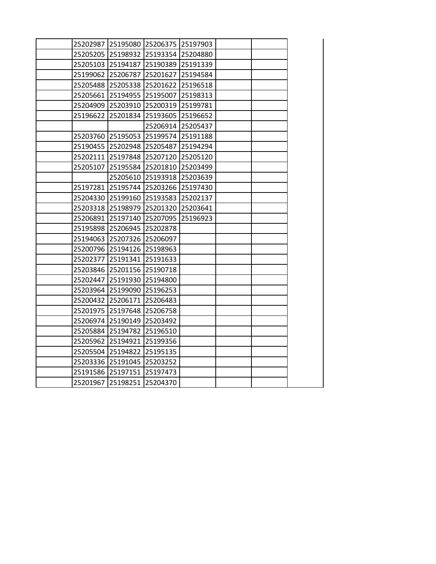|          | 25202987 25195080 25206375 25197903 |                   |          |  |
|----------|-------------------------------------|-------------------|----------|--|
|          | 25205205 25198932 25193354 25204880 |                   |          |  |
|          | 25205103 25194187                   | 25190389 25191339 |          |  |
|          | 25199062 25206787                   | 25201627          | 25194584 |  |
|          | 25205488 25205338 25201622          |                   | 25196518 |  |
|          | 25205661 25194955 25195007          |                   | 25198313 |  |
|          | 25204909 25203910 25200319          |                   | 25199781 |  |
|          | 25196622 25201834                   | 25193605          | 25196652 |  |
|          |                                     | 25206914 25205437 |          |  |
|          | 25203760 25195053 25199574          |                   | 25191188 |  |
|          | 25190455 25202948 25205487          |                   | 25194294 |  |
|          | 25202111 25197848 25207120 25205120 |                   |          |  |
| 25205107 |                                     | 25195584 25201810 | 25203499 |  |
|          | 25205610                            | 25193918          | 25203639 |  |
|          | 25197281 25195744 25203266          |                   | 25197430 |  |
|          | 25204330 25199160 25193583          |                   | 25202137 |  |
|          | 25203318 25198979 25201320          |                   | 25203641 |  |
|          | 25206891 25197140 25207095          |                   | 25196923 |  |
|          | 25195898 25206945 25202878          |                   |          |  |
|          | 25194063 25207326 25206097          |                   |          |  |
|          | 25200796 25194126 25198963          |                   |          |  |
|          | 25202377 25191341 25191633          |                   |          |  |
|          | 25203846 25201156 25190718          |                   |          |  |
|          | 25202447 25191930                   | 25194800          |          |  |
|          | 25203964 25199090 25196253          |                   |          |  |
|          | 25200432 25206171 25206483          |                   |          |  |
|          | 25201975 25197648 25206758          |                   |          |  |
|          | 25206974 25190149 25203492          |                   |          |  |
|          | 25205884 25194782                   | 25196510          |          |  |
|          | 25205962 25194921 25199356          |                   |          |  |
|          | 25205504 25194822 25195135          |                   |          |  |
|          | 25203336 25191045 25203252          |                   |          |  |
|          | 25191586 25197151 25197473          |                   |          |  |
|          | 25201967 25198251                   | 25204370          |          |  |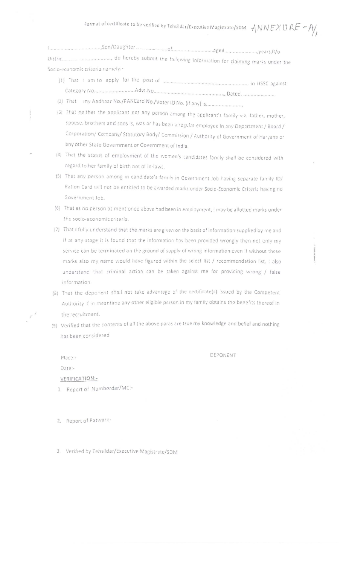| Socio-economic criteria namely:- |  |
|----------------------------------|--|

- 
- 
- (3) That neither the applicant nor any person among the applicant's family viz. father, mother, spouse, brothers and sons is, was or has been a regular employee in any Department / Board / Corporation/ Company/ Statutory Body/ Commission / Authority of Government of Haryana or any other State Government or Government of India.
- (4) That the status of employment of the women's candidates family shall be considered with regard to her family of birth not of in-laws.
- (5) That any person among in candidate's family in Government Job having separate family ID/ Ration Card will not be entitled to be awarded marks under Socio-Economic Criteria having no Government Job.
- (6) That as no person as mentioned above had been in employment, I may be allotted marks under the socio-economic criteria.
- (7) That I fully understand that the marks are given on the basis of information supplied by me and if at any stage it is found that the information has been provided wrongly then not only my service can be terminated on the ground of supply of wrong information even if without these marks also my name would have figured within the select list / recommendation list. I also understand that criminal action can be taken against me for providing wrong / false information.
- (8) That the deponent shall not take advantage of the certificate(s) issued by the Competent Authority if in meantime any other eligible person in my family obtains the benefits thereof in the recruitment.
- (9) Verified that the contents of all the above paras are true my knowledge and belief and nothing has been considered

DEPONENT

Place:-Date:-VERIFICATION:-

 $\mu^{\rm eff}$ 

- 1. Report of Numberdar/MC:-
- 2. Report of Patwari:-

3. Verified by Tehsildar/Executive Magistrate/SDM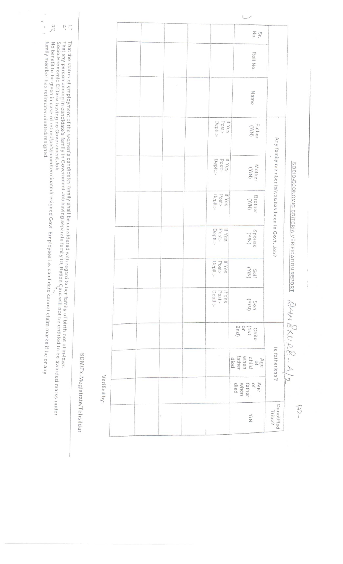|  |   |                              | $S_{\rm f.}$ .                                       |                                                 |                                        |
|--|---|------------------------------|------------------------------------------------------|-------------------------------------------------|----------------------------------------|
|  |   |                              | Roll No.                                             |                                                 |                                        |
|  |   |                              | Name                                                 |                                                 |                                        |
|  |   | If Yes<br>Post:-<br>Deptt.:- | Father<br>(Y/N)                                      |                                                 |                                        |
|  |   | Post:-<br>If Yes<br>Deptt:-  | Mother<br>(Y/N)                                      | Any family member is/was/has been in Govt. Job? |                                        |
|  |   | Post:-<br>Deptt.:-<br>If Yes | Brother<br>(Y/N)                                     |                                                 | SOCIO-ECONOMIC CRITERIA VERIFICATION   |
|  |   | If Yes<br>Post:-<br>Deptt.:- | $\sum_{\text{Smod} 2}$                               |                                                 |                                        |
|  |   | If Yes<br>Post:-<br>Deptt.:- | Self<br>The                                          |                                                 |                                        |
|  |   | If Yes<br>Deptt.:-<br>Post:- | (KIN)<br>nos                                         |                                                 | REPORT $\partial A \wedge B \& D \& D$ |
|  |   |                              | 2nd)<br>$\overline{a}$<br>$151)$<br>Child            |                                                 |                                        |
|  |   |                              | Age<br>child<br>when<br>when<br>ital<br>died<br>died | Is fatherless?                                  |                                        |
|  |   |                              | Age<br>of<br>when<br>died<br>father                  |                                                 |                                        |
|  | Ÿ |                              | $\frac{1}{2}$                                        | Denotified<br>Tribe?                            | $\widetilde{\mathcal{L}}$              |

 $\label{eq:1} \frac{1}{2} \int_{\mathbb{R}^3} \frac{1}{\sqrt{2}} \, \mathrm{d} \mu \, \mathrm{d} \mu \, \mathrm{d} \mu \, \mathrm{d} \mu \, \mathrm{d} \mu \, \mathrm{d} \mu \, \mathrm{d} \mu \, \mathrm{d} \mu \, \mathrm{d} \mu \, \mathrm{d} \mu \, \mathrm{d} \mu \, \mathrm{d} \mu \, \mathrm{d} \mu \, \mathrm{d} \mu \, \mathrm{d} \mu \, \mathrm{d} \mu \, \mathrm{d} \mu \, \mathrm{d} \mu \, \mathrm{d} \mu \, \mathrm{d} \mu \, \mathrm$ 

SDM/Ex-Megistrate/Tehsildar

Verified by:

 $\overleftrightarrow{\cdot}$  ,  $\overleftrightarrow{\cdot}$ That the status of employment of the women's candidates family shall be considered with regard to her family of birth not of in-laws<br>That any person among in candidate's family in Government Job having separate family ID,

 $3.7$ No benefit to be given in case of retired/peissioner/terminated/resigned Govt. Employees i.e. candidate cannot claim marks if he or any<br>No benefit to be given in case of retired/peissioner/terminated/resigned Govt. Employe

family member has retired/terminated/resigned.

 $\begin{array}{c}\n\bullet \\
\bullet \\
\bullet \\
\bullet\n\end{array}$